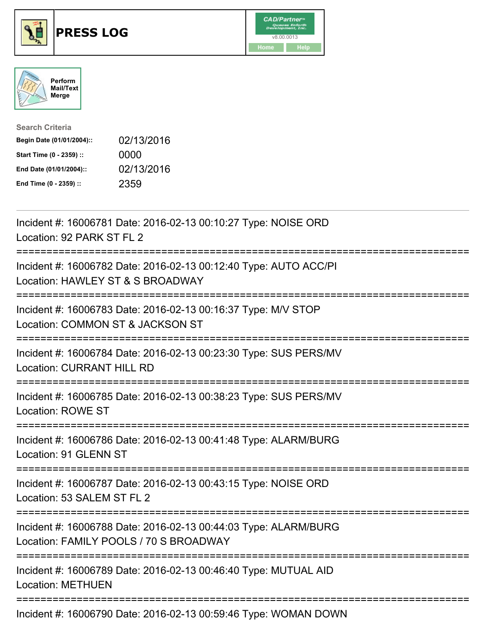





| <b>Search Criteria</b>    |            |
|---------------------------|------------|
| Begin Date (01/01/2004):: | 02/13/2016 |
| Start Time (0 - 2359) ::  | 0000       |
| End Date (01/01/2004)::   | 02/13/2016 |
| End Time (0 - 2359) ::    | 2359       |

| Incident #: 16006781 Date: 2016-02-13 00:10:27 Type: NOISE ORD<br>Location: 92 PARK ST FL 2<br>:==============                                 |
|------------------------------------------------------------------------------------------------------------------------------------------------|
| Incident #: 16006782 Date: 2016-02-13 00:12:40 Type: AUTO ACC/PI<br>Location: HAWLEY ST & S BROADWAY                                           |
| Incident #: 16006783 Date: 2016-02-13 00:16:37 Type: M/V STOP<br>Location: COMMON ST & JACKSON ST<br>-----------------------                   |
| Incident #: 16006784 Date: 2016-02-13 00:23:30 Type: SUS PERS/MV<br><b>Location: CURRANT HILL RD</b>                                           |
| Incident #: 16006785 Date: 2016-02-13 00:38:23 Type: SUS PERS/MV<br><b>Location: ROWE ST</b>                                                   |
| Incident #: 16006786 Date: 2016-02-13 00:41:48 Type: ALARM/BURG<br>Location: 91 GLENN ST                                                       |
| Incident #: 16006787 Date: 2016-02-13 00:43:15 Type: NOISE ORD<br>Location: 53 SALEM ST FL 2<br>:====================                          |
| Incident #: 16006788 Date: 2016-02-13 00:44:03 Type: ALARM/BURG<br>Location: FAMILY POOLS / 70 S BROADWAY<br>:================================ |
| Incident #: 16006789 Date: 2016-02-13 00:46:40 Type: MUTUAL AID<br><b>Location: METHUEN</b>                                                    |
| Incident #: 16006790 Date: 2016-02-13 00:59:46 Type: WOMAN DOWN                                                                                |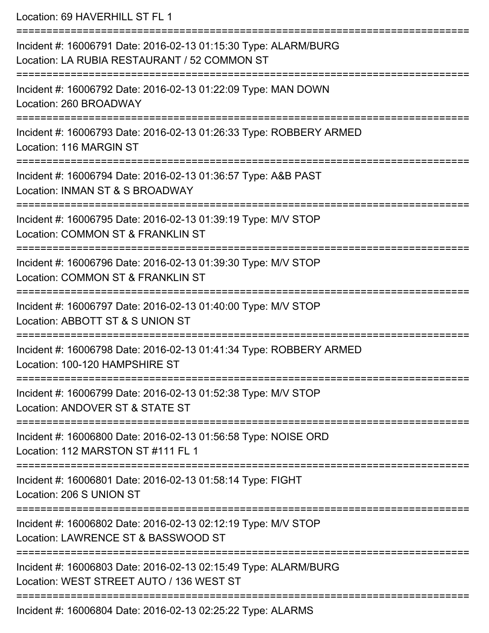| Location: 69 HAVERHILL ST FL 1                                                                                  |
|-----------------------------------------------------------------------------------------------------------------|
| Incident #: 16006791 Date: 2016-02-13 01:15:30 Type: ALARM/BURG<br>Location: LA RUBIA RESTAURANT / 52 COMMON ST |
| Incident #: 16006792 Date: 2016-02-13 01:22:09 Type: MAN DOWN<br>Location: 260 BROADWAY                         |
| Incident #: 16006793 Date: 2016-02-13 01:26:33 Type: ROBBERY ARMED<br>Location: 116 MARGIN ST                   |
| Incident #: 16006794 Date: 2016-02-13 01:36:57 Type: A&B PAST<br>Location: INMAN ST & S BROADWAY                |
| Incident #: 16006795 Date: 2016-02-13 01:39:19 Type: M/V STOP<br>Location: COMMON ST & FRANKLIN ST              |
| Incident #: 16006796 Date: 2016-02-13 01:39:30 Type: M/V STOP<br>Location: COMMON ST & FRANKLIN ST              |
| Incident #: 16006797 Date: 2016-02-13 01:40:00 Type: M/V STOP<br>Location: ABBOTT ST & S UNION ST               |
| Incident #: 16006798 Date: 2016-02-13 01:41:34 Type: ROBBERY ARMED<br>Location: 100-120 HAMPSHIRE ST            |
| Incident #: 16006799 Date: 2016-02-13 01:52:38 Type: M/V STOP<br>Location: ANDOVER ST & STATE ST                |
| Incident #: 16006800 Date: 2016-02-13 01:56:58 Type: NOISE ORD<br>Location: 112 MARSTON ST #111 FL 1            |
| Incident #: 16006801 Date: 2016-02-13 01:58:14 Type: FIGHT<br>Location: 206 S UNION ST                          |
| Incident #: 16006802 Date: 2016-02-13 02:12:19 Type: M/V STOP<br>Location: LAWRENCE ST & BASSWOOD ST            |
| Incident #: 16006803 Date: 2016-02-13 02:15:49 Type: ALARM/BURG<br>Location: WEST STREET AUTO / 136 WEST ST     |
| Incident #: 16006804 Date: 2016-02-13 02:25:22 Type: ALARMS                                                     |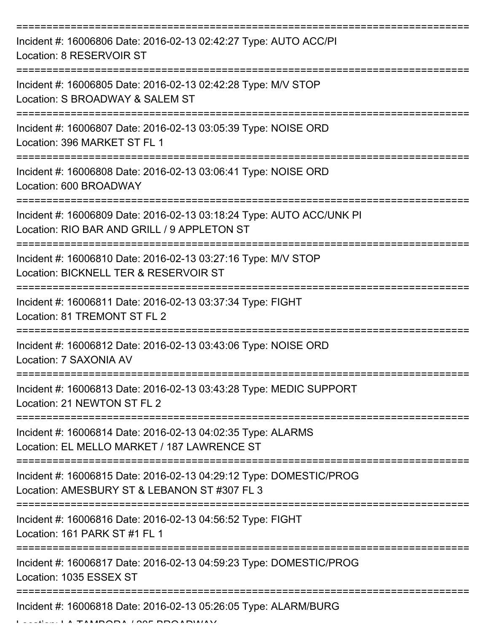| Incident #: 16006806 Date: 2016-02-13 02:42:27 Type: AUTO ACC/PI<br>Location: 8 RESERVOIR ST                                                                                                                                                                                                                                                                                                                                                            |
|---------------------------------------------------------------------------------------------------------------------------------------------------------------------------------------------------------------------------------------------------------------------------------------------------------------------------------------------------------------------------------------------------------------------------------------------------------|
| Incident #: 16006805 Date: 2016-02-13 02:42:28 Type: M/V STOP<br>Location: S BROADWAY & SALEM ST                                                                                                                                                                                                                                                                                                                                                        |
| Incident #: 16006807 Date: 2016-02-13 03:05:39 Type: NOISE ORD<br>Location: 396 MARKET ST FL 1                                                                                                                                                                                                                                                                                                                                                          |
| Incident #: 16006808 Date: 2016-02-13 03:06:41 Type: NOISE ORD<br>Location: 600 BROADWAY                                                                                                                                                                                                                                                                                                                                                                |
| Incident #: 16006809 Date: 2016-02-13 03:18:24 Type: AUTO ACC/UNK PI<br>Location: RIO BAR AND GRILL / 9 APPLETON ST                                                                                                                                                                                                                                                                                                                                     |
| Incident #: 16006810 Date: 2016-02-13 03:27:16 Type: M/V STOP<br>Location: BICKNELL TER & RESERVOIR ST                                                                                                                                                                                                                                                                                                                                                  |
| Incident #: 16006811 Date: 2016-02-13 03:37:34 Type: FIGHT<br>Location: 81 TREMONT ST FL 2                                                                                                                                                                                                                                                                                                                                                              |
| Incident #: 16006812 Date: 2016-02-13 03:43:06 Type: NOISE ORD<br>Location: 7 SAXONIA AV                                                                                                                                                                                                                                                                                                                                                                |
| Incident #: 16006813 Date: 2016-02-13 03:43:28 Type: MEDIC SUPPORT<br>Location: 21 NEWTON ST FL 2                                                                                                                                                                                                                                                                                                                                                       |
| Incident #: 16006814 Date: 2016-02-13 04:02:35 Type: ALARMS<br>Location: EL MELLO MARKET / 187 LAWRENCE ST                                                                                                                                                                                                                                                                                                                                              |
| Incident #: 16006815 Date: 2016-02-13 04:29:12 Type: DOMESTIC/PROG<br>Location: AMESBURY ST & LEBANON ST #307 FL 3                                                                                                                                                                                                                                                                                                                                      |
| Incident #: 16006816 Date: 2016-02-13 04:56:52 Type: FIGHT<br>Location: 161 PARK ST #1 FL 1                                                                                                                                                                                                                                                                                                                                                             |
| Incident #: 16006817 Date: 2016-02-13 04:59:23 Type: DOMESTIC/PROG<br>Location: 1035 ESSEX ST                                                                                                                                                                                                                                                                                                                                                           |
| Incident #: 16006818 Date: 2016-02-13 05:26:05 Type: ALARM/BURG<br>$\overline{a}$ $\overline{a}$ $\overline{a}$ $\overline{a}$ $\overline{a}$ $\overline{a}$ $\overline{a}$ $\overline{a}$ $\overline{a}$ $\overline{a}$ $\overline{a}$ $\overline{a}$ $\overline{a}$ $\overline{a}$ $\overline{a}$ $\overline{a}$ $\overline{a}$ $\overline{a}$ $\overline{a}$ $\overline{a}$ $\overline{a}$ $\overline{a}$ $\overline{a}$ $\overline{a}$ $\overline{$ |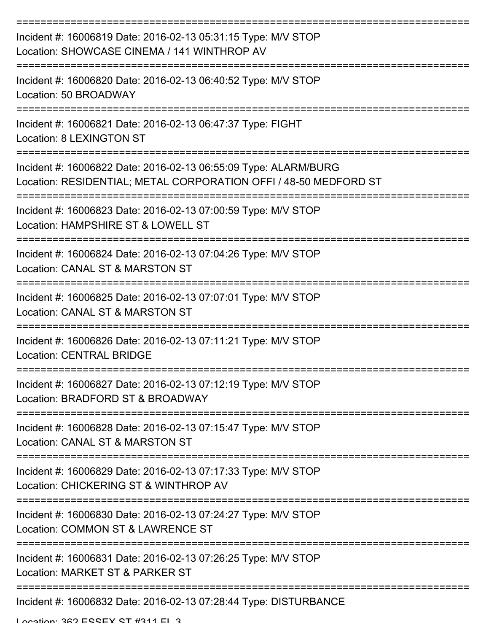| Incident #: 16006819 Date: 2016-02-13 05:31:15 Type: M/V STOP<br>Location: SHOWCASE CINEMA / 141 WINTHROP AV                        |
|-------------------------------------------------------------------------------------------------------------------------------------|
| Incident #: 16006820 Date: 2016-02-13 06:40:52 Type: M/V STOP<br>Location: 50 BROADWAY                                              |
| Incident #: 16006821 Date: 2016-02-13 06:47:37 Type: FIGHT<br><b>Location: 8 LEXINGTON ST</b>                                       |
| Incident #: 16006822 Date: 2016-02-13 06:55:09 Type: ALARM/BURG<br>Location: RESIDENTIAL; METAL CORPORATION OFFI / 48-50 MEDFORD ST |
| Incident #: 16006823 Date: 2016-02-13 07:00:59 Type: M/V STOP<br>Location: HAMPSHIRE ST & LOWELL ST                                 |
| Incident #: 16006824 Date: 2016-02-13 07:04:26 Type: M/V STOP<br>Location: CANAL ST & MARSTON ST                                    |
| Incident #: 16006825 Date: 2016-02-13 07:07:01 Type: M/V STOP<br>Location: CANAL ST & MARSTON ST                                    |
| Incident #: 16006826 Date: 2016-02-13 07:11:21 Type: M/V STOP<br><b>Location: CENTRAL BRIDGE</b>                                    |
| Incident #: 16006827 Date: 2016-02-13 07:12:19 Type: M/V STOP<br>Location: BRADFORD ST & BROADWAY                                   |
| Incident #: 16006828 Date: 2016-02-13 07:15:47 Type: M/V STOP<br>Location: CANAL ST & MARSTON ST                                    |
| Incident #: 16006829 Date: 2016-02-13 07:17:33 Type: M/V STOP<br>Location: CHICKERING ST & WINTHROP AV                              |
| Incident #: 16006830 Date: 2016-02-13 07:24:27 Type: M/V STOP<br>Location: COMMON ST & LAWRENCE ST                                  |
| Incident #: 16006831 Date: 2016-02-13 07:26:25 Type: M/V STOP<br>Location: MARKET ST & PARKER ST                                    |
| Incident #: 16006832 Date: 2016-02-13 07:28:44 Type: DISTURBANCE<br>I anation: 260 ECCEV CT #211 El 2                               |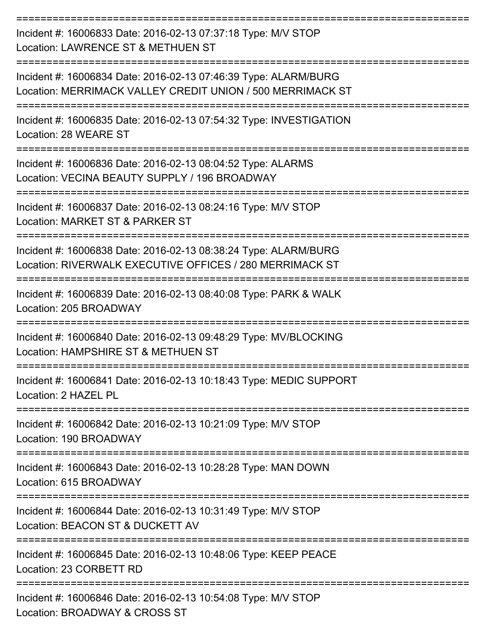| Incident #: 16006833 Date: 2016-02-13 07:37:18 Type: M/V STOP<br>Location: LAWRENCE ST & METHUEN ST                           |
|-------------------------------------------------------------------------------------------------------------------------------|
| Incident #: 16006834 Date: 2016-02-13 07:46:39 Type: ALARM/BURG<br>Location: MERRIMACK VALLEY CREDIT UNION / 500 MERRIMACK ST |
| Incident #: 16006835 Date: 2016-02-13 07:54:32 Type: INVESTIGATION<br>Location: 28 WEARE ST                                   |
| Incident #: 16006836 Date: 2016-02-13 08:04:52 Type: ALARMS<br>Location: VECINA BEAUTY SUPPLY / 196 BROADWAY                  |
| Incident #: 16006837 Date: 2016-02-13 08:24:16 Type: M/V STOP<br>Location: MARKET ST & PARKER ST                              |
| Incident #: 16006838 Date: 2016-02-13 08:38:24 Type: ALARM/BURG<br>Location: RIVERWALK EXECUTIVE OFFICES / 280 MERRIMACK ST   |
| Incident #: 16006839 Date: 2016-02-13 08:40:08 Type: PARK & WALK<br>Location: 205 BROADWAY                                    |
| Incident #: 16006840 Date: 2016-02-13 09:48:29 Type: MV/BLOCKING<br>Location: HAMPSHIRE ST & METHUEN ST                       |
| ==================<br>Incident #: 16006841 Date: 2016-02-13 10:18:43 Type: MEDIC SUPPORT<br>Location: 2 HAZEL PL              |
| -------------------<br>Incident #: 16006842 Date: 2016-02-13 10:21:09 Type: M/V STOP<br>Location: 190 BROADWAY                |
| -------------------------<br>Incident #: 16006843 Date: 2016-02-13 10:28:28 Type: MAN DOWN<br>Location: 615 BROADWAY          |
| Incident #: 16006844 Date: 2016-02-13 10:31:49 Type: M/V STOP<br>Location: BEACON ST & DUCKETT AV                             |
| Incident #: 16006845 Date: 2016-02-13 10:48:06 Type: KEEP PEACE<br>Location: 23 CORBETT RD                                    |
| Incident #: 16006846 Date: 2016-02-13 10:54:08 Type: M/V STOP<br>Location: BROADWAY & CROSS ST                                |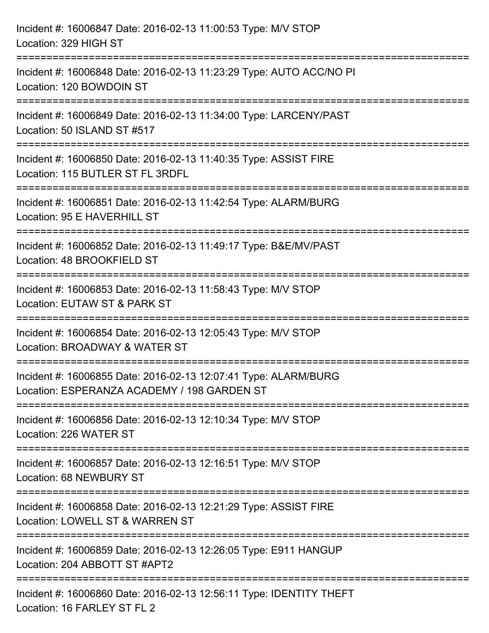| Incident #: 16006847 Date: 2016-02-13 11:00:53 Type: M/V STOP<br>Location: 329 HIGH ST                                                                          |
|-----------------------------------------------------------------------------------------------------------------------------------------------------------------|
| ==================================<br>======================<br>Incident #: 16006848 Date: 2016-02-13 11:23:29 Type: AUTO ACC/NO PI<br>Location: 120 BOWDOIN ST |
| Incident #: 16006849 Date: 2016-02-13 11:34:00 Type: LARCENY/PAST<br>Location: 50 ISLAND ST #517                                                                |
| Incident #: 16006850 Date: 2016-02-13 11:40:35 Type: ASSIST FIRE<br>Location: 115 BUTLER ST FL 3RDFL                                                            |
| Incident #: 16006851 Date: 2016-02-13 11:42:54 Type: ALARM/BURG<br>Location: 95 E HAVERHILL ST                                                                  |
| Incident #: 16006852 Date: 2016-02-13 11:49:17 Type: B&E/MV/PAST<br>Location: 48 BROOKFIELD ST                                                                  |
| Incident #: 16006853 Date: 2016-02-13 11:58:43 Type: M/V STOP<br>Location: EUTAW ST & PARK ST                                                                   |
| Incident #: 16006854 Date: 2016-02-13 12:05:43 Type: M/V STOP<br>Location: BROADWAY & WATER ST                                                                  |
| Incident #: 16006855 Date: 2016-02-13 12:07:41 Type: ALARM/BURG<br>Location: ESPERANZA ACADEMY / 198 GARDEN ST                                                  |
| Incident #: 16006856 Date: 2016-02-13 12:10:34 Type: M/V STOP<br>Location: 226 WATER ST                                                                         |
| Incident #: 16006857 Date: 2016-02-13 12:16:51 Type: M/V STOP<br>Location: 68 NEWBURY ST                                                                        |
| Incident #: 16006858 Date: 2016-02-13 12:21:29 Type: ASSIST FIRE<br>Location: LOWELL ST & WARREN ST                                                             |
| Incident #: 16006859 Date: 2016-02-13 12:26:05 Type: E911 HANGUP<br>Location: 204 ABBOTT ST #APT2                                                               |
| Incident #: 16006860 Date: 2016-02-13 12:56:11 Type: IDENTITY THEFT<br>Location: 16 FARLEY ST FL 2                                                              |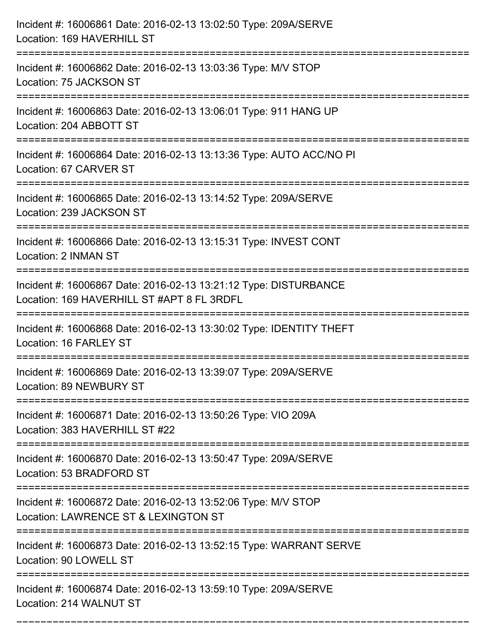| Incident #: 16006861 Date: 2016-02-13 13:02:50 Type: 209A/SERVE<br>Location: 169 HAVERHILL ST                  |
|----------------------------------------------------------------------------------------------------------------|
| Incident #: 16006862 Date: 2016-02-13 13:03:36 Type: M/V STOP<br>Location: 75 JACKSON ST                       |
| Incident #: 16006863 Date: 2016-02-13 13:06:01 Type: 911 HANG UP<br>Location: 204 ABBOTT ST                    |
| Incident #: 16006864 Date: 2016-02-13 13:13:36 Type: AUTO ACC/NO PI<br>Location: 67 CARVER ST                  |
| Incident #: 16006865 Date: 2016-02-13 13:14:52 Type: 209A/SERVE<br>Location: 239 JACKSON ST                    |
| Incident #: 16006866 Date: 2016-02-13 13:15:31 Type: INVEST CONT<br>Location: 2 INMAN ST                       |
| Incident #: 16006867 Date: 2016-02-13 13:21:12 Type: DISTURBANCE<br>Location: 169 HAVERHILL ST #APT 8 FL 3RDFL |
| Incident #: 16006868 Date: 2016-02-13 13:30:02 Type: IDENTITY THEFT<br>Location: 16 FARLEY ST                  |
| Incident #: 16006869 Date: 2016-02-13 13:39:07 Type: 209A/SERVE<br>Location: 89 NEWBURY ST                     |
| Incident #: 16006871 Date: 2016-02-13 13:50:26 Type: VIO 209A<br>Location: 383 HAVERHILL ST #22                |
| Incident #: 16006870 Date: 2016-02-13 13:50:47 Type: 209A/SERVE<br>Location: 53 BRADFORD ST                    |
| Incident #: 16006872 Date: 2016-02-13 13:52:06 Type: M/V STOP<br>Location: LAWRENCE ST & LEXINGTON ST          |
| Incident #: 16006873 Date: 2016-02-13 13:52:15 Type: WARRANT SERVE<br>Location: 90 LOWELL ST                   |
| Incident #: 16006874 Date: 2016-02-13 13:59:10 Type: 209A/SERVE<br>Location: 214 WALNUT ST                     |

===========================================================================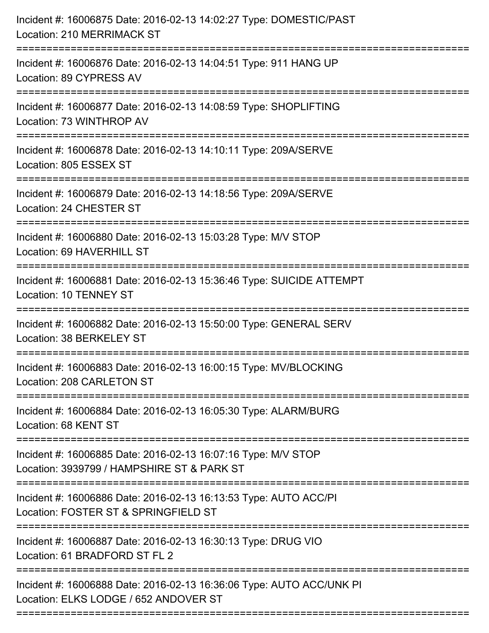| Incident #: 16006875 Date: 2016-02-13 14:02:27 Type: DOMESTIC/PAST<br>Location: 210 MERRIMACK ST                                   |
|------------------------------------------------------------------------------------------------------------------------------------|
| Incident #: 16006876 Date: 2016-02-13 14:04:51 Type: 911 HANG UP<br>Location: 89 CYPRESS AV                                        |
| Incident #: 16006877 Date: 2016-02-13 14:08:59 Type: SHOPLIFTING<br>Location: 73 WINTHROP AV<br>================================== |
| Incident #: 16006878 Date: 2016-02-13 14:10:11 Type: 209A/SERVE<br>Location: 805 ESSEX ST                                          |
| Incident #: 16006879 Date: 2016-02-13 14:18:56 Type: 209A/SERVE<br>Location: 24 CHESTER ST                                         |
| Incident #: 16006880 Date: 2016-02-13 15:03:28 Type: M/V STOP<br>Location: 69 HAVERHILL ST                                         |
| Incident #: 16006881 Date: 2016-02-13 15:36:46 Type: SUICIDE ATTEMPT<br><b>Location: 10 TENNEY ST</b>                              |
| Incident #: 16006882 Date: 2016-02-13 15:50:00 Type: GENERAL SERV<br>Location: 38 BERKELEY ST                                      |
| Incident #: 16006883 Date: 2016-02-13 16:00:15 Type: MV/BLOCKING<br>Location: 208 CARLETON ST                                      |
| Incident #: 16006884 Date: 2016-02-13 16:05:30 Type: ALARM/BURG<br>Location: 68 KENT ST                                            |
| Incident #: 16006885 Date: 2016-02-13 16:07:16 Type: M/V STOP<br>Location: 3939799 / HAMPSHIRE ST & PARK ST                        |
| Incident #: 16006886 Date: 2016-02-13 16:13:53 Type: AUTO ACC/PI<br>Location: FOSTER ST & SPRINGFIELD ST                           |
| Incident #: 16006887 Date: 2016-02-13 16:30:13 Type: DRUG VIO<br>Location: 61 BRADFORD ST FL 2                                     |
| Incident #: 16006888 Date: 2016-02-13 16:36:06 Type: AUTO ACC/UNK PI<br>Location: ELKS LODGE / 652 ANDOVER ST                      |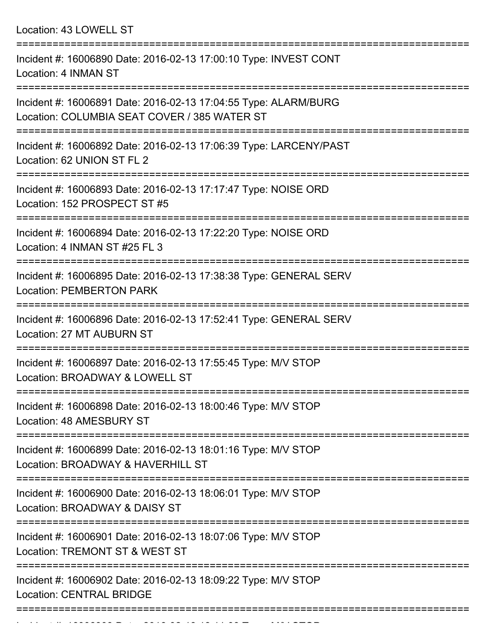Location: 43 LOWELL ST =========================================================================== Incident #: 16006890 Date: 2016-02-13 17:00:10 Type: INVEST CONT Location: 4 INMAN ST =========================================================================== Incident #: 16006891 Date: 2016-02-13 17:04:55 Type: ALARM/BURG Location: COLUMBIA SEAT COVER / 385 WATER ST

=========================================================================== Incident #: 16006892 Date: 2016-02-13 17:06:39 Type: LARCENY/PAST

Location: 62 UNION ST FL 2

===========================================================================

Incident #: 16006893 Date: 2016-02-13 17:17:47 Type: NOISE ORD Location: 152 PROSPECT ST #5

===========================================================================

Incident #: 16006894 Date: 2016-02-13 17:22:20 Type: NOISE ORD Location: 4 INMAN ST #25 FL 3

===========================================================================

Incident #: 16006895 Date: 2016-02-13 17:38:38 Type: GENERAL SERV Location: PEMBERTON PARK

===========================================================================

Incident #: 16006896 Date: 2016-02-13 17:52:41 Type: GENERAL SERV Location: 27 MT AUBURN ST

===========================================================================

Incident #: 16006897 Date: 2016-02-13 17:55:45 Type: M/V STOP Location: BROADWAY & LOWELL ST

===========================================================================

Incident #: 16006898 Date: 2016-02-13 18:00:46 Type: M/V STOP Location: 48 AMESBURY ST

===========================================================================

Incident #: 16006899 Date: 2016-02-13 18:01:16 Type: M/V STOP Location: BROADWAY & HAVERHILL ST

===========================================================================

Incident #: 16006900 Date: 2016-02-13 18:06:01 Type: M/V STOP

Location: BROADWAY & DAISY ST

===========================================================================

Incident #: 16006901 Date: 2016-02-13 18:07:06 Type: M/V STOP

Location: TREMONT ST & WEST ST

===========================================================================

Incident #: 16006902 Date: 2016-02-13 18:09:22 Type: M/V STOP

Incident #: 16006903 Date: 2016 02 14:11:03 Type: Microsoft.com

Location: CENTRAL BRIDGE

===========================================================================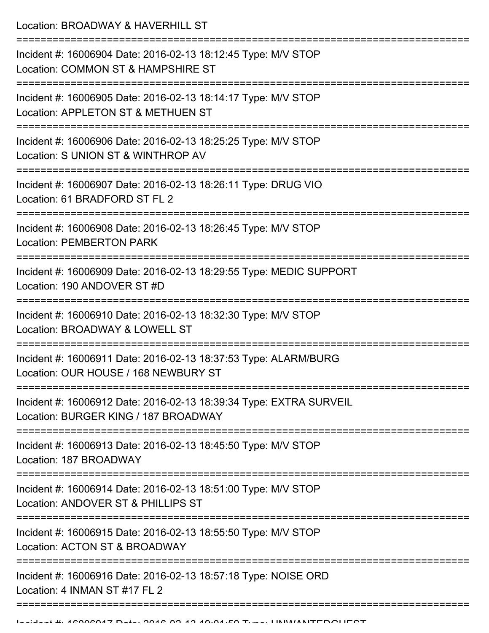Location: BROADWAY & HAVERHILL ST

=========================================================================== Incident #: 16006904 Date: 2016-02-13 18:12:45 Type: M/V STOP Location: COMMON ST & HAMPSHIRE ST =========================================================================== Incident #: 16006905 Date: 2016-02-13 18:14:17 Type: M/V STOP Location: APPLETON ST & METHUEN ST =========================================================================== Incident #: 16006906 Date: 2016-02-13 18:25:25 Type: M/V STOP Location: S UNION ST & WINTHROP AV =========================================================================== Incident #: 16006907 Date: 2016-02-13 18:26:11 Type: DRUG VIO Location: 61 BRADFORD ST FL 2 =========================================================================== Incident #: 16006908 Date: 2016-02-13 18:26:45 Type: M/V STOP Location: PEMBERTON PARK =========================================================================== Incident #: 16006909 Date: 2016-02-13 18:29:55 Type: MEDIC SUPPORT Location: 190 ANDOVER ST #D =========================================================================== Incident #: 16006910 Date: 2016-02-13 18:32:30 Type: M/V STOP Location: BROADWAY & LOWELL ST =========================================================================== Incident #: 16006911 Date: 2016-02-13 18:37:53 Type: ALARM/BURG Location: OUR HOUSE / 168 NEWBURY ST =========================================================================== Incident #: 16006912 Date: 2016-02-13 18:39:34 Type: EXTRA SURVEIL Location: BURGER KING / 187 BROADWAY =========================================================================== Incident #: 16006913 Date: 2016-02-13 18:45:50 Type: M/V STOP Location: 187 BROADWAY =========================================================================== Incident #: 16006914 Date: 2016-02-13 18:51:00 Type: M/V STOP Location: ANDOVER ST & PHILLIPS ST =========================================================================== Incident #: 16006915 Date: 2016-02-13 18:55:50 Type: M/V STOP Location: ACTON ST & BROADWAY =========================================================================== Incident #: 16006916 Date: 2016-02-13 18:57:18 Type: NOISE ORD Location: 4 INMAN ST #17 FL 2 ===========================================================================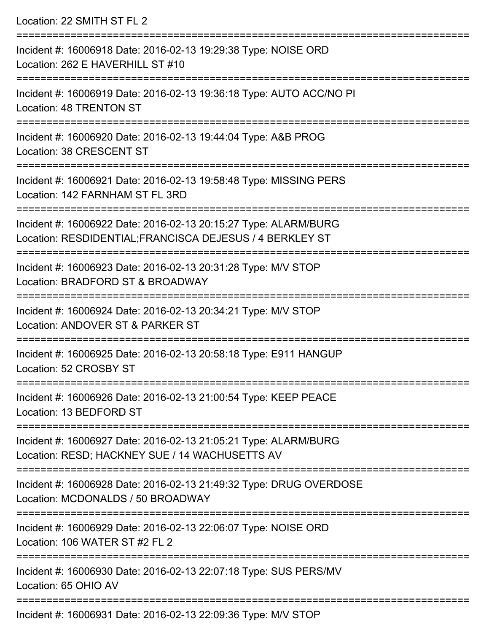Location: 22 SMITH ST FL 2 =========================================================================== Incident #: 16006918 Date: 2016-02-13 19:29:38 Type: NOISE ORD Location: 262 E HAVERHILL ST #10 =========================================================================== Incident #: 16006919 Date: 2016-02-13 19:36:18 Type: AUTO ACC/NO PI Location: 48 TRENTON ST =========================================================================== Incident #: 16006920 Date: 2016-02-13 19:44:04 Type: A&B PROG Location: 38 CRESCENT ST =========================================================================== Incident #: 16006921 Date: 2016-02-13 19:58:48 Type: MISSING PERS Location: 142 FARNHAM ST FL 3RD =========================================================================== Incident #: 16006922 Date: 2016-02-13 20:15:27 Type: ALARM/BURG Location: RESDIDENTIAL;FRANCISCA DEJESUS / 4 BERKLEY ST =========================================================================== Incident #: 16006923 Date: 2016-02-13 20:31:28 Type: M/V STOP Location: BRADFORD ST & BROADWAY =========================================================================== Incident #: 16006924 Date: 2016-02-13 20:34:21 Type: M/V STOP Location: ANDOVER ST & PARKER ST =========================================================================== Incident #: 16006925 Date: 2016-02-13 20:58:18 Type: E911 HANGUP Location: 52 CROSBY ST =========================================================================== Incident #: 16006926 Date: 2016-02-13 21:00:54 Type: KEEP PEACE Location: 13 BEDFORD ST =========================================================================== Incident #: 16006927 Date: 2016-02-13 21:05:21 Type: ALARM/BURG Location: RESD; HACKNEY SUE / 14 WACHUSETTS AV =========================================================================== Incident #: 16006928 Date: 2016-02-13 21:49:32 Type: DRUG OVERDOSE Location: MCDONALDS / 50 BROADWAY =========================================================================== Incident #: 16006929 Date: 2016-02-13 22:06:07 Type: NOISE ORD Location: 106 WATER ST #2 FL 2 =========================================================================== Incident #: 16006930 Date: 2016-02-13 22:07:18 Type: SUS PERS/MV Location: 65 OHIO AV ===========================================================================

Incident #: 16006931 Date: 2016-02-13 22:09:36 Type: M/V STOP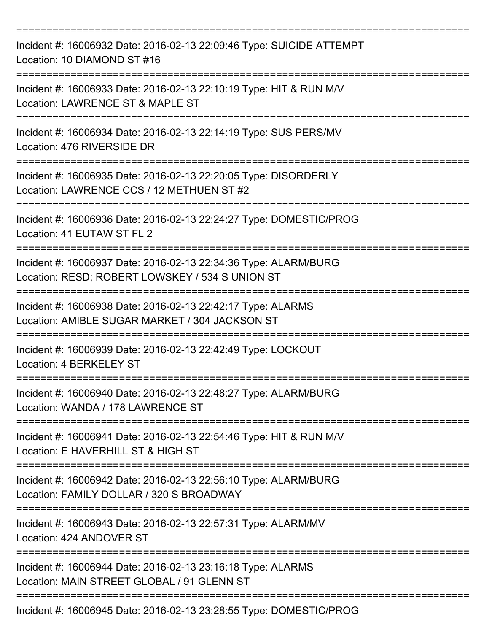| Incident #: 16006932 Date: 2016-02-13 22:09:46 Type: SUICIDE ATTEMPT<br>Location: 10 DIAMOND ST #16                |
|--------------------------------------------------------------------------------------------------------------------|
| Incident #: 16006933 Date: 2016-02-13 22:10:19 Type: HIT & RUN M/V<br>Location: LAWRENCE ST & MAPLE ST             |
| Incident #: 16006934 Date: 2016-02-13 22:14:19 Type: SUS PERS/MV<br>Location: 476 RIVERSIDE DR                     |
| Incident #: 16006935 Date: 2016-02-13 22:20:05 Type: DISORDERLY<br>Location: LAWRENCE CCS / 12 METHUEN ST #2       |
| Incident #: 16006936 Date: 2016-02-13 22:24:27 Type: DOMESTIC/PROG<br>Location: 41 EUTAW ST FL 2                   |
| Incident #: 16006937 Date: 2016-02-13 22:34:36 Type: ALARM/BURG<br>Location: RESD; ROBERT LOWSKEY / 534 S UNION ST |
| Incident #: 16006938 Date: 2016-02-13 22:42:17 Type: ALARMS<br>Location: AMIBLE SUGAR MARKET / 304 JACKSON ST      |
| Incident #: 16006939 Date: 2016-02-13 22:42:49 Type: LOCKOUT<br><b>Location: 4 BERKELEY ST</b>                     |
| Incident #: 16006940 Date: 2016-02-13 22:48:27 Type: ALARM/BURG<br>Location: WANDA / 178 LAWRENCE ST               |
| Incident #: 16006941 Date: 2016-02-13 22:54:46 Type: HIT & RUN M/V<br>Location: E HAVERHILL ST & HIGH ST           |
| Incident #: 16006942 Date: 2016-02-13 22:56:10 Type: ALARM/BURG<br>Location: FAMILY DOLLAR / 320 S BROADWAY        |
| Incident #: 16006943 Date: 2016-02-13 22:57:31 Type: ALARM/MV<br>Location: 424 ANDOVER ST                          |
| Incident #: 16006944 Date: 2016-02-13 23:16:18 Type: ALARMS<br>Location: MAIN STREET GLOBAL / 91 GLENN ST          |
| Incident #: 16006945 Date: 2016-02-13 23:28:55 Type: DOMESTIC/PROG                                                 |